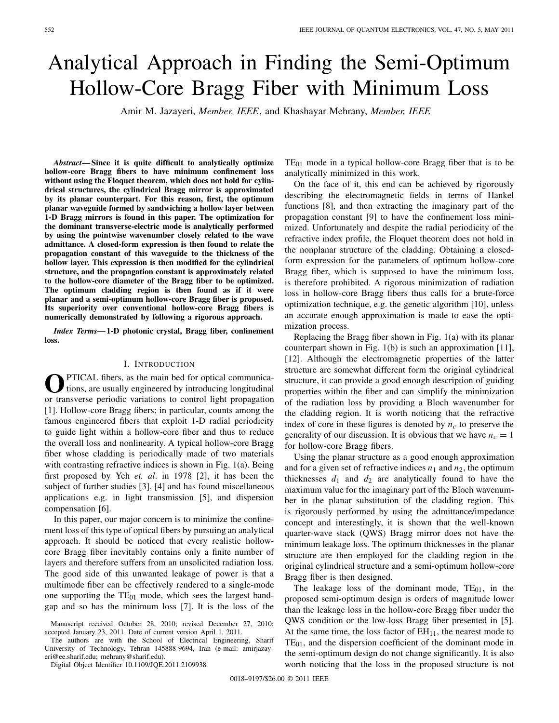# Analytical Approach in Finding the Semi-Optimum Hollow-Core Bragg Fiber with Minimum Loss

Amir M. Jazayeri, *Member, IEEE*, and Khashayar Mehrany, *Member, IEEE*

*Abstract***— Since it is quite difficult to analytically optimize hollow-core Bragg fibers to have minimum confinement loss without using the Floquet theorem, which does not hold for cylindrical structures, the cylindrical Bragg mirror is approximated by its planar counterpart. For this reason, first, the optimum planar waveguide formed by sandwiching a hollow layer between 1-D Bragg mirrors is found in this paper. The optimization for the dominant transverse-electric mode is analytically performed by using the pointwise wavenumber closely related to the wave admittance. A closed-form expression is then found to relate the propagation constant of this waveguide to the thickness of the hollow layer. This expression is then modified for the cylindrical structure, and the propagation constant is approximately related to the hollow-core diameter of the Bragg fiber to be optimized. The optimum cladding region is then found as if it were planar and a semi-optimum hollow-core Bragg fiber is proposed. Its superiority over conventional hollow-core Bragg fibers is numerically demonstrated by following a rigorous approach.**

*Index Terms***— 1-D photonic crystal, Bragg fiber, confinement loss.**

## I. INTRODUCTION

O<sup>PTICAL</sup> fibers, as the main bed for optical communications, are usually engineered by introducing longitudinal or transverse periodic variations to control light propagation [1]. Hollow-core Bragg fibers; in particular, counts among the famous engineered fibers that exploit 1-D radial periodicity to guide light within a hollow-core fiber and thus to reduce the overall loss and nonlinearity. A typical hollow-core Bragg fiber whose cladding is periodically made of two materials with contrasting refractive indices is shown in Fig. 1(a). Being first proposed by Yeh *et. al*. in 1978 [2], it has been the subject of further studies [3], [4] and has found miscellaneous applications e.g. in light transmission [5], and dispersion compensation [6].

In this paper, our major concern is to minimize the confinement loss of this type of optical fibers by pursuing an analytical approach. It should be noticed that every realistic hollowcore Bragg fiber inevitably contains only a finite number of layers and therefore suffers from an unsolicited radiation loss. The good side of this unwanted leakage of power is that a multimode fiber can be effectively rendered to a single-mode one supporting the  $TE_{01}$  mode, which sees the largest bandgap and so has the minimum loss [7]. It is the loss of the

The authors are with the School of Electrical Engineering, Sharif University of Technology, Tehran 145888-9694, Iran (e-mail: amirjazayeri@ee.sharif.edu; mehrany@sharif.edu).

Digital Object Identifier 10.1109/JQE.2011.2109938

 $TE_{01}$  mode in a typical hollow-core Bragg fiber that is to be analytically minimized in this work.

On the face of it, this end can be achieved by rigorously describing the electromagnetic fields in terms of Hankel functions [8], and then extracting the imaginary part of the propagation constant [9] to have the confinement loss minimized. Unfortunately and despite the radial periodicity of the refractive index profile, the Floquet theorem does not hold in the nonplanar structure of the cladding. Obtaining a closedform expression for the parameters of optimum hollow-core Bragg fiber, which is supposed to have the minimum loss, is therefore prohibited. A rigorous minimization of radiation loss in hollow-core Bragg fibers thus calls for a brute-force optimization technique, e.g. the genetic algorithm [10], unless an accurate enough approximation is made to ease the optimization process.

Replacing the Bragg fiber shown in Fig. 1(a) with its planar counterpart shown in Fig. 1(b) is such an approximation [11], [12]. Although the electromagnetic properties of the latter structure are somewhat different form the original cylindrical structure, it can provide a good enough description of guiding properties within the fiber and can simplify the minimization of the radiation loss by providing a Bloch wavenumber for the cladding region. It is worth noticing that the refractive index of core in these figures is denoted by  $n_c$  to preserve the generality of our discussion. It is obvious that we have  $n_c = 1$ for hollow-core Bragg fibers.

Using the planar structure as a good enough approximation and for a given set of refractive indices  $n_1$  and  $n_2$ , the optimum thicknesses  $d_1$  and  $d_2$  are analytically found to have the maximum value for the imaginary part of the Bloch wavenumber in the planar substitution of the cladding region. This is rigorously performed by using the admittance/impedance concept and interestingly, it is shown that the well-known quarter-wave stack (QWS) Bragg mirror does not have the minimum leakage loss. The optimum thicknesses in the planar structure are then employed for the cladding region in the original cylindrical structure and a semi-optimum hollow-core Bragg fiber is then designed.

The leakage loss of the dominant mode,  $TE_{01}$ , in the proposed semi-optimum design is orders of magnitude lower than the leakage loss in the hollow-core Bragg fiber under the QWS condition or the low-loss Bragg fiber presented in [5]. At the same time, the loss factor of  $EH<sub>11</sub>$ , the nearest mode to  $TE<sub>01</sub>$ , and the dispersion coefficient of the dominant mode in the semi-optimum design do not change significantly. It is also worth noticing that the loss in the proposed structure is not

Manuscript received October 28, 2010; revised December 27, 2010; accepted January 23, 2011. Date of current version April 1, 2011.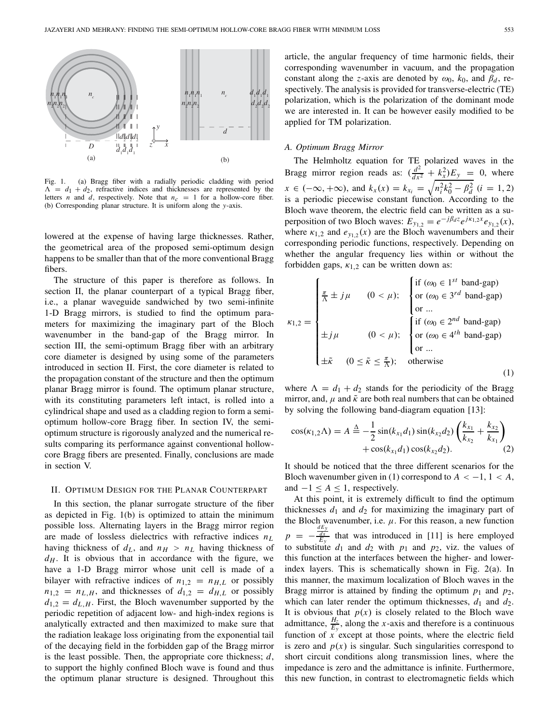

Fig. 1. (a) Bragg fiber with a radially periodic cladding with period  $\Lambda = d_1 + d_2$ , refractive indices and thicknesses are represented by the letters *n* and *d*, respectively. Note that  $n_c = 1$  for a hollow-core fiber. (b) Corresponding planar structure. It is uniform along the *y*-axis.

lowered at the expense of having large thicknesses. Rather, the geometrical area of the proposed semi-optimum design happens to be smaller than that of the more conventional Bragg fibers.

The structure of this paper is therefore as follows. In section II, the planar counterpart of a typical Bragg fiber, i.e., a planar waveguide sandwiched by two semi-infinite 1-D Bragg mirrors, is studied to find the optimum parameters for maximizing the imaginary part of the Bloch wavenumber in the band-gap of the Bragg mirror. In section III, the semi-optimum Bragg fiber with an arbitrary core diameter is designed by using some of the parameters introduced in section II. First, the core diameter is related to the propagation constant of the structure and then the optimum planar Bragg mirror is found. The optimum planar structure, with its constituting parameters left intact, is rolled into a cylindrical shape and used as a cladding region to form a semioptimum hollow-core Bragg fiber. In section IV, the semioptimum structure is rigorously analyzed and the numerical results comparing its performance against conventional hollowcore Bragg fibers are presented. Finally, conclusions are made in section V.

#### II. OPTIMUM DESIGN FOR THE PLANAR COUNTERPART

In this section, the planar surrogate structure of the fiber as depicted in Fig. 1(b) is optimized to attain the minimum possible loss. Alternating layers in the Bragg mirror region are made of lossless dielectrics with refractive indices *nL* having thickness of  $d_L$ , and  $n_H > n_L$  having thickness of  $d_H$ . It is obvious that in accordance with the figure, we have a 1-D Bragg mirror whose unit cell is made of a bilayer with refractive indices of  $n_{1,2} = n_{H,L}$  or possibly  $n_{1,2} = n_{L,H}$ , and thicknesses of  $d_{1,2} = d_{H,L}$  or possibly  $d_{1,2} = d_{L,H}$ . First, the Bloch wavenumber supported by the periodic repetition of adjacent low- and high-index regions is analytically extracted and then maximized to make sure that the radiation leakage loss originating from the exponential tail of the decaying field in the forbidden gap of the Bragg mirror is the least possible. Then, the appropriate core thickness; *d*, to support the highly confined Bloch wave is found and thus the optimum planar structure is designed. Throughout this article, the angular frequency of time harmonic fields, their corresponding wavenumber in vacuum, and the propagation constant along the *z*-axis are denoted by  $\omega_0$ ,  $k_0$ , and  $\beta_d$ , respectively. The analysis is provided for transverse-electric (TE) polarization, which is the polarization of the dominant mode we are interested in. It can be however easily modified to be applied for TM polarization.

#### *A. Optimum Bragg Mirror*

The Helmholtz equation for TE polarized waves in the Bragg mirror region reads as:  $\left(\frac{d^2}{dx^2} + k_x^2\right)E_y = 0$ , where  $x \in (-\infty, +\infty)$ , and  $k_x(x) = k_{x_i} = \sqrt{n_i^2 k_0^2 - \beta_d^2}$  (*i* = 1, 2) is a periodic piecewise constant function. According to the Bloch wave theorem, the electric field can be written as a superposition of two Bloch waves:  $E_{y_{1,2}} = e^{-j\beta_d z} e^{j\kappa_{1,2}x} e_{y_{1,2}}(x)$ , where  $\kappa_{1,2}$  and  $e_{y_1,2}(x)$  are the Bloch wavenumbers and their corresponding periodic functions, respectively. Depending on whether the angular frequency lies within or without the forbidden gaps,  $\kappa_{1,2}$  can be written down as:

$$
\kappa_{1,2} = \begin{cases}\n\frac{\pi}{\Lambda} \pm j\mu & (0 < \mu); \\
\frac{\pi}{\Lambda} \pm j\mu & (0 < \mu); \\
\frac{\pi}{\Lambda} \pm j\mu & (0 < \mu); \\
\frac{\pi}{\Lambda} \pm j\mu & (0 < \mu); \\
\frac{\pi}{\Lambda} \pm j\mu & (0 < \mu); \\
\frac{\pi}{\Lambda} \pm \tilde{\kappa} & (0 \leq \tilde{\kappa} \leq \frac{\pi}{\Lambda}); \\
\frac{\pi}{\Lambda} \pm j\mu & \frac{\pi}{\Lambda} \pm j\mu\n\end{cases}
$$
\n
$$
\kappa_{1,2} = \begin{cases}\n\frac{\pi}{\Lambda} \pm j\mu & (0 < \mu); \\
\frac{\pi}{\Lambda} \pm j\mu & (0 < \mu); \\
\frac{\pi}{\Lambda} \pm j\mu & (0 < \mu); \\
\frac{\pi}{\Lambda} \pm j\mu & (0 < \mu); \\
\frac{\pi}{\Lambda} \pm j\mu & (0 < \mu); \\
\frac{\pi}{\Lambda} \pm j\mu & (0 < \mu). \\
\frac{\pi}{\Lambda} \pm j\mu & (0 < \mu). \\
\frac{\pi}{\Lambda} \pm j\mu & (0 < \mu). \\
\frac{\pi}{\Lambda} \pm j\mu & (0 < \mu). \\
\frac{\pi}{\Lambda} \pm j\mu & (0 < \mu). \\
\frac{\pi}{\Lambda} \pm j\mu & (0 < \mu). \\
\frac{\pi}{\Lambda} \pm j\mu & (0 < \mu). \\
\frac{\pi}{\Lambda} \pm j\mu & (0 < \mu). \\
\frac{\pi}{\Lambda} \pm j\mu & (0 < \mu). \\
\frac{\pi}{\Lambda} \pm j\mu & (0 < \mu). \\
\frac{\pi}{\Lambda} \pm j\mu & (0 < \mu). \\
\frac{\pi}{\Lambda} \pm j\mu & (0 < \mu). \\
\frac{\pi}{\Lambda} \pm j\mu & (0 < \mu). \\
\frac{\pi}{\Lambda} \pm j\mu & (0 < \mu). \\
\frac{\pi}{\Lambda} \pm j\mu & (0 < \mu). \\
\frac{\pi}{\Lambda} \pm j\mu & (0 < \mu). \\
\frac{\pi}{\Lambda} \pm j\mu & (0 < \mu). \\
\frac{\pi}{\Lambda} \pm j\mu & (0 < \mu). \\
\frac{\pi}{\Lambda} \pm j\mu & (0 < \mu). \\
\frac{\pi}{\Lambda} \pm j\mu & (0 < \mu). \\
\frac{\pi}{\Lambda} \pm j\mu & (0 <
$$

where  $\Lambda = d_1 + d_2$  stands for the periodicity of the Bragg mirror, and,  $\mu$  and  $\tilde{\kappa}$  are both real numbers that can be obtained by solving the following band-diagram equation [13]:

$$
\cos(\kappa_{1,2}\Lambda) = A \stackrel{\Delta}{=} -\frac{1}{2}\sin(k_{x_1}d_1)\sin(k_{x_2}d_2)\left(\frac{k_{x_1}}{k_{x_2}} + \frac{k_{x_2}}{k_{x_1}}\right) + \cos(k_{x_1}d_1)\cos(k_{x_2}d_2). \tag{2}
$$

It should be noticed that the three different scenarios for the Bloch wavenumber given in (1) correspond to  $A < -1, 1 < A$ , and  $-1 \leq A \leq 1$ , respectively.

At this point, it is extremely difficult to find the optimum thicknesses  $d_1$  and  $d_2$  for maximizing the imaginary part of the Bloch wavenumber, i.e.  $\mu$ . For this reason, a new function  $p = -\frac{dE_y}{dy}$  that was introduced in [11] is here employed to substitute  $d_1$  and  $d_2$  with  $p_1$  and  $p_2$ , viz. the values of this function at the interfaces between the higher- and lowerindex layers. This is schematically shown in Fig. 2(a). In this manner, the maximum localization of Bloch waves in the Bragg mirror is attained by finding the optimum  $p_1$  and  $p_2$ , which can later render the optimum thicknesses,  $d_1$  and  $d_2$ . It is obvious that  $p(x)$  is closely related to the Bloch wave admittance,  $\frac{H_z}{E_y}$ , along the *x*-axis and therefore is a continuous function of *x* except at those points, where the electric field is zero and  $p(x)$  is singular. Such singularities correspond to short circuit conditions along transmission lines, where the impedance is zero and the admittance is infinite. Furthermore, this new function, in contrast to electromagnetic fields which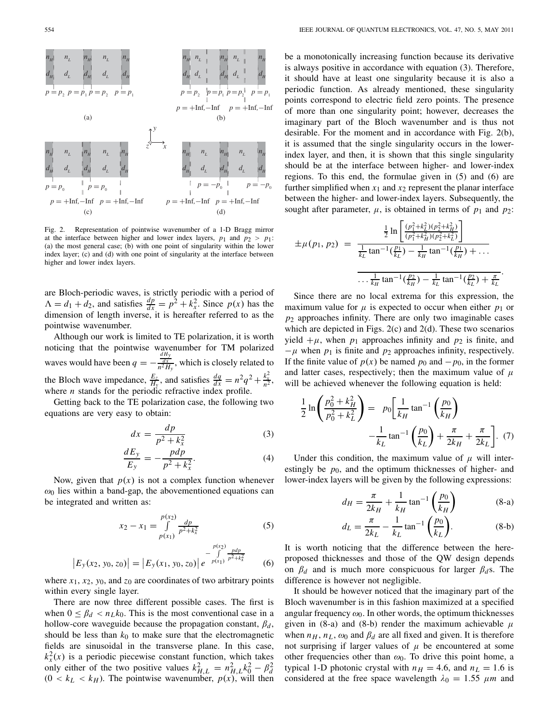

Fig. 2. Representation of pointwise wavenumber of a 1-D Bragg mirror at the interface between higher and lower index layers,  $p_1$  and  $p_2 > p_1$ : (a) the most general case; (b) with one point of singularity within the lower index layer; (c) and (d) with one point of singularity at the interface between higher and lower index layers.

are Bloch-periodic waves, is strictly periodic with a period of  $\Lambda = d_1 + d_2$ , and satisfies  $\frac{dp}{dx} = p^2 + k_x^2$ . Since  $p(x)$  has the dimension of length inverse, it is hereafter referred to as the pointwise wavenumber.

Although our work is limited to TE polarization, it is worth noticing that the pointwise wavenumber for TM polarized waves would have been  $q = -\frac{dH_y}{n^2H_y}$ , which is closely related to the Bloch wave impedance,  $\frac{E_z}{H_y}$ , and satisfies  $\frac{dq}{dx} = n^2q^2 + \frac{k_x^2}{n^2}$ , where *n* stands for the periodic refractive index profile.

Getting back to the TE polarization case, the following two equations are very easy to obtain:

$$
dx = \frac{dp}{p^2 + k_x^2} \tag{3}
$$

$$
\frac{dE_y}{E_y} = -\frac{pdp}{p^2 + k_x^2}.\tag{4}
$$

Now, given that  $p(x)$  is not a complex function whenever  $\omega_0$  lies within a band-gap, the abovementioned equations can be integrated and written as:

$$
x_2 - x_1 = \int_{p(x_1)}^{p(x_2)} \frac{dp}{p^2 + k_x^2}
$$
 (5)

$$
\left|E_{y}(x_2, y_0, z_0)\right| = \left|E_{y}(x_1, y_0, z_0)\right| e^{-\int_{p(x_1)}^{p(x_2)} \frac{pdp}{p^2 + k_x^2}}
$$
(6)

where  $x_1$ ,  $x_2$ ,  $y_0$ , and  $z_0$  are coordinates of two arbitrary points within every single layer.

There are now three different possible cases. The first is when  $0 \leq \beta_d < n_L k_0$ . This is the most conventional case in a hollow-core waveguide because the propagation constant,  $\beta_d$ , should be less than  $k_0$  to make sure that the electromagnetic fields are sinusoidal in the transverse plane. In this case,  $k_x^2(x)$  is a periodic piecewise constant function, which takes only either of the two positive values  $k_{H,L}^2 = n_{H,L}^2 k_0^2 - \beta_d^2$ <br>(0 <  $k_L < k_H$ ). The pointwise wavenumber,  $p(x)$ , will then

be a monotonically increasing function because its derivative is always positive in accordance with equation (3). Therefore, it should have at least one singularity because it is also a periodic function. As already mentioned, these singularity points correspond to electric field zero points. The presence of more than one singularity point; however, decreases the imaginary part of the Bloch wavenumber and is thus not desirable. For the moment and in accordance with Fig. 2(b), it is assumed that the single singularity occurs in the lowerindex layer, and then, it is shown that this single singularity should be at the interface between higher- and lower-index regions. To this end, the formulae given in (5) and (6) are further simplified when  $x_1$  and  $x_2$  represent the planar interface between the higher- and lower-index layers. Subsequently, the sought after parameter,  $\mu$ , is obtained in terms of  $p_1$  and  $p_2$ :

$$
\pm \mu(p_1, p_2) = \frac{\frac{1}{2} \ln \left[ \frac{(p_1^2 + k_1^2)(p_2^2 + k_H^2)}{(p_1^2 + k_H^2)(p_2^2 + k_L^2)} \right]}{\frac{1}{k_L} \tan^{-1}(\frac{p_1}{k_L}) - \frac{1}{k_H} \tan^{-1}(\frac{p_1}{k_H}) + \dots}
$$

$$
\frac{\frac{1}{k_H} \tan^{-1}(\frac{p_2}{k_H}) - \frac{1}{k_L} \tan^{-1}(\frac{p_2}{k_L}) + \frac{\pi}{k_L}}{\frac{1}{k_H} \tan^{-1}(\frac{p_2}{k_H}) - \frac{1}{k_L} \tan^{-1}(\frac{p_2}{k_L}) + \frac{\pi}{k_L}}.
$$

Since there are no local extrema for this expression, the maximum value for  $\mu$  is expected to occur when either  $p_1$  or  $p_2$  approaches infinity. There are only two imaginable cases which are depicted in Figs. 2(c) and 2(d). These two scenarios yield  $+\mu$ , when  $p_1$  approaches infinity and  $p_2$  is finite, and  $-\mu$  when  $p_1$  is finite and  $p_2$  approaches infinity, respectively. If the finite value of  $p(x)$  be named  $p_0$  and  $-p_0$ , in the former and latter cases, respectively; then the maximum value of  $\mu$ will be achieved whenever the following equation is held:

$$
\frac{1}{2}\ln\left(\frac{p_0^2 + k_H^2}{p_0^2 + k_L^2}\right) = p_0 \left[\frac{1}{k_H} \tan^{-1}\left(\frac{p_0}{k_H}\right) - \frac{1}{k_L} \tan^{-1}\left(\frac{p_0}{k_L}\right) + \frac{\pi}{2k_H} + \frac{\pi}{2k_L}\right].
$$
 (7)

Under this condition, the maximum value of  $\mu$  will interestingly be  $p_0$ , and the optimum thicknesses of higher- and lower-index layers will be given by the following expressions:

$$
d_H = \frac{\pi}{2k_H} + \frac{1}{k_H} \tan^{-1} \left(\frac{p_0}{k_H}\right) \tag{8-a}
$$

$$
d_L = \frac{\pi}{2k_L} - \frac{1}{k_L} \tan^{-1} \left( \frac{p_0}{k_L} \right).
$$
 (8-b)

It is worth noticing that the difference between the hereproposed thicknesses and those of the QW design depends on  $\beta_d$  and is much more conspicuous for larger  $\beta_d$ s. The difference is however not negligible.

It should be however noticed that the imaginary part of the Bloch wavenumber is in this fashion maximized at a specified angular frequency  $\omega_0$ . In other words, the optimum thicknesses given in (8-a) and (8-b) render the maximum achievable  $\mu$ when  $n_H$ ,  $n_L$ ,  $\omega_0$  and  $\beta_d$  are all fixed and given. It is therefore not surprising if larger values of  $\mu$  be encountered at some other frequencies other than  $\omega_0$ . To drive this point home, a typical 1-D photonic crystal with  $n_H = 4.6$ , and  $n_L = 1.6$  is considered at the free space wavelength  $\lambda_0 = 1.55$   $\mu$ m and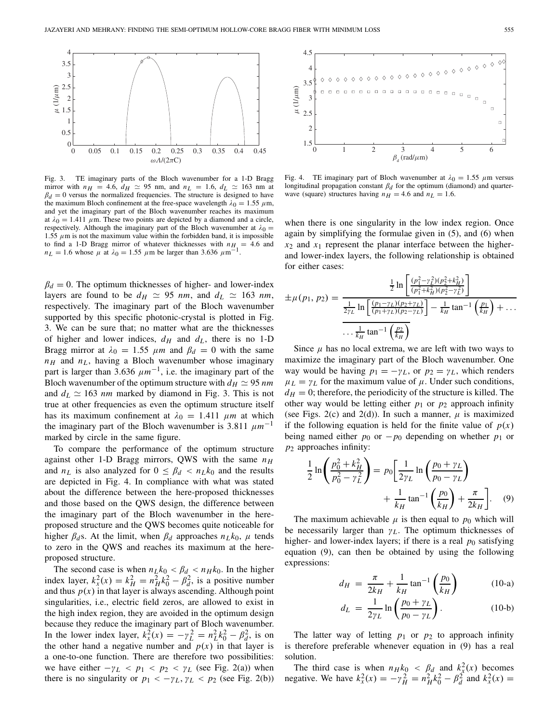

Fig. 3. TE imaginary parts of the Bloch wavenumber for a 1-D Bragg mirror with  $n_H$  = 4.6,  $d_H \approx 95$  nm, and  $n_L$  = 1.6,  $d_L \approx 163$  nm at  $\beta_d = 0$  versus the normalized frequencies. The structure is designed to have the maximum Bloch confinement at the free-space wavelength  $\lambda_0 = 1.55 \mu \text{m}$ , and yet the imaginary part of the Bloch wavenumber reaches its maximum at  $\lambda_0 = 1.411 \mu$ m. These two points are depicted by a diamond and a circle, respectively. Although the imaginary part of the Bloch wavenumber at  $\lambda_0 =$ 1.55  $\mu$ m is not the maximum value within the forbidden band, it is impossible to find a 1-D Bragg mirror of whatever thicknesses with  $n_{H_1} = 4.6$  and  $n<sub>L</sub> = 1.6$  whose  $\mu$  at  $\lambda_0 = 1.55$   $\mu$ m be larger than 3.636  $\mu$ m<sup>-1</sup>

 $\beta_d = 0$ . The optimum thicknesses of higher- and lower-index layers are found to be  $d_H \simeq 95$  *nm*, and  $d_L \simeq 163$  *nm*, respectively. The imaginary part of the Bloch wavenumber supported by this specific photonic-crystal is plotted in Fig. 3. We can be sure that; no matter what are the thicknesses of higher and lower indices,  $d_H$  and  $d_L$ , there is no 1-D Bragg mirror at  $\lambda_0 = 1.55$   $\mu$ m and  $\beta_d = 0$  with the same  $n_H$  and  $n_L$ , having a Bloch wavenumber whose imaginary part is larger than 3.636  $\mu m^{-1}$ , i.e. the imaginary part of the Bloch wavenumber of the optimum structure with  $d_H \simeq 95$  *nm* and  $d_L \simeq 163$  *nm* marked by diamond in Fig. 3. This is not true at other frequencies as even the optimum structure itself has its maximum confinement at  $\lambda_0 = 1.411 \mu m$  at which the imaginary part of the Bloch wavenumber is 3.811  $\mu m^{-1}$ marked by circle in the same figure.

To compare the performance of the optimum structure against other 1-D Bragg mirrors, QWS with the same *nH* and  $n_L$  is also analyzed for  $0 \leq \beta_d < n_L k_0$  and the results are depicted in Fig. 4. In compliance with what was stated about the difference between the here-proposed thicknesses and those based on the QWS design, the difference between the imaginary part of the Bloch wavenumber in the hereproposed structure and the QWS becomes quite noticeable for higher  $\beta_d$ s. At the limit, when  $\beta_d$  approaches  $n_L k_0$ ,  $\mu$  tends to zero in the QWS and reaches its maximum at the hereproposed structure.

The second case is when  $n_L k_0 < \beta_d < n_H k_0$ . In the higher index layer,  $k_x^2(x) = k_H^2 = n_H^2 k_0^2 - \beta_d^2$ , is a positive number and thus  $p(x)$  in that layer is always ascending. Although point singularities, i.e., electric field zeros, are allowed to exist in the high index region, they are avoided in the optimum design because they reduce the imaginary part of Bloch wavenumber. In the lower index layer,  $k_x^2(x) = -\gamma_L^2 = n_L^2 k_0^2 - \beta_d^2$ , is on the other hand a negative number and  $p(x)$  in that layer is a one-to-one function. There are therefore two possibilities: we have either  $-\gamma_L < p_1 < p_2 < \gamma_L$  (see Fig. 2(a)) when there is no singularity or  $p_1 < -\gamma_L$ ,  $\gamma_L < p_2$  (see Fig. 2(b))



Fig. 4. TE imaginary part of Bloch wavenumber at  $\lambda_0 = 1.55$   $\mu$ m versus longitudinal propagation constant β*d* for the optimum (diamond) and quarterwave (square) structures having  $n_H = 4.6$  and  $n_L = 1.6$ .

when there is one singularity in the low index region. Once again by simplifying the formulae given in (5), and (6) when  $x_2$  and  $x_1$  represent the planar interface between the higherand lower-index layers, the following relationship is obtained for either cases:

$$
\pm \mu(p_1, p_2) = \frac{\frac{1}{2} \ln \left[ \frac{(p_1^2 - y_L^2)(p_2^2 + k_H^2)}{(p_1^2 + k_H^2)(p_2^2 - y_L^2)} \right]}{\frac{1}{2\gamma_L} \ln \left[ \frac{(p_1 - \gamma_L)(p_2 + \gamma_L)}{(p_1 + \gamma_L)(p_2 - \gamma_L)} \right] - \frac{1}{k_H} \tan^{-1} \left( \frac{p_1}{k_H} \right) + \dots}
$$

$$
\dots \frac{1}{k_H} \tan^{-1} \left( \frac{p_2}{k_H} \right)}
$$

Since  $\mu$  has no local extrema, we are left with two ways to maximize the imaginary part of the Bloch wavenumber. One way would be having  $p_1 = -\gamma_L$ , or  $p_2 = \gamma_L$ , which renders  $\mu_L = \gamma_L$  for the maximum value of  $\mu$ . Under such conditions,  $d_H = 0$ ; therefore, the periodicity of the structure is killed. The other way would be letting either  $p_1$  or  $p_2$  approach infinity (see Figs. 2(c) and 2(d)). In such a manner,  $\mu$  is maximized if the following equation is held for the finite value of  $p(x)$ being named either  $p_0$  or  $-p_0$  depending on whether  $p_1$  or *p*<sup>2</sup> approaches infinity:

$$
\frac{1}{2}\ln\left(\frac{p_0^2 + k_H^2}{p_0^2 - \gamma_L^2}\right) = p_0 \left[\frac{1}{2\gamma_L}\ln\left(\frac{p_0 + \gamma_L}{p_0 - \gamma_L}\right) + \frac{1}{k_H}\tan^{-1}\left(\frac{p_0}{k_H}\right) + \frac{\pi}{2k_H}\right].
$$
 (9)

The maximum achievable  $\mu$  is then equal to  $p_0$  which will be necessarily larger than γ*L*. The optimum thicknesses of higher- and lower-index layers; if there is a real  $p_0$  satisfying equation (9), can then be obtained by using the following expressions:

$$
d_H = \frac{\pi}{2k_H} + \frac{1}{k_H} \tan^{-1} \left(\frac{p_0}{k_H}\right) \tag{10-a}
$$

$$
d_L = \frac{1}{2\gamma_L} \ln \left( \frac{p_0 + \gamma_L}{p_0 - \gamma_L} \right). \tag{10-b}
$$

The latter way of letting  $p_1$  or  $p_2$  to approach infinity is therefore preferable whenever equation in (9) has a real solution.

The third case is when  $n_H k_0 < \beta_d$  and  $k_x^2(x)$  becomes negative. We have  $k_x^2(x) = -\gamma_H^2 = n_H^2 k_0^2 - \beta_d^2$  and  $k_x^2(x) =$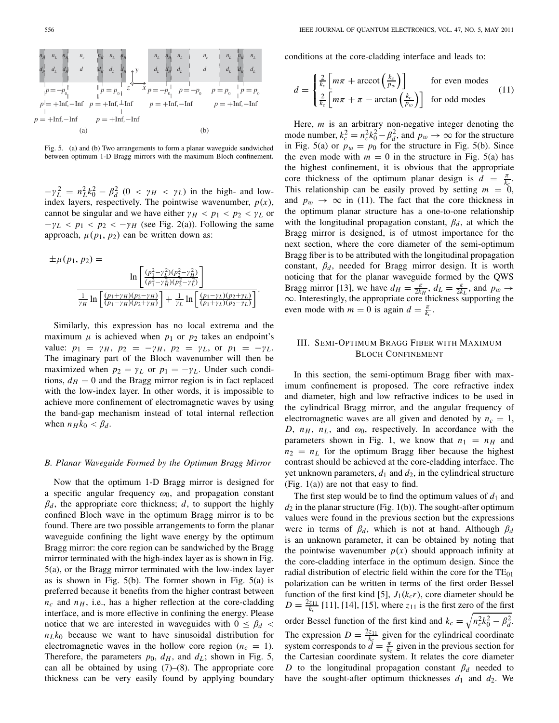

Fig. 5. (a) and (b) Two arrangements to form a planar waveguide sandwiched between optimum 1-D Bragg mirrors with the maximum Bloch confinement.

 $-\gamma_L^2 = n_L^2 k_0^2 - \beta_d^2$  (0 <  $\gamma_H$  <  $\gamma_L$ ) in the high- and lowindex layers, respectively. The pointwise wavenumber,  $p(x)$ , cannot be singular and we have either  $\gamma_H < p_1 < p_2 < \gamma_L$  or  $-\gamma_L < p_1 < p_2 < -\gamma_H$  (see Fig. 2(a)). Following the same approach,  $\mu(p_1, p_2)$  can be written down as:

$$
\pm \mu(p_1, p_2) = \ln \left[ \frac{(p_1^2 - \gamma_L^2)(p_2^2 - \gamma_H^2)}{(p_1^2 - \gamma_H^2)(p_2^2 - \gamma_L^2)} \right]
$$

$$
\frac{1}{\gamma_H} \ln \left[ \frac{(p_1 + \gamma_H)(p_2 - \gamma_H)}{(p_1 - \gamma_H)(p_2 + \gamma_H)} \right] + \frac{1}{\gamma_L} \ln \left[ \frac{(p_1 - \gamma_L)(p_2 + \gamma_L)}{(p_1 + \gamma_L)(p_2 - \gamma_L)} \right].
$$

Similarly, this expression has no local extrema and the maximum  $\mu$  is achieved when  $p_1$  or  $p_2$  takes an endpoint's value:  $p_1 = \gamma_H$ ,  $p_2 = -\gamma_H$ ,  $p_2 = \gamma_L$ , or  $p_1 = -\gamma_L$ . The imaginary part of the Bloch wavenumber will then be maximized when  $p_2 = \gamma_L$  or  $p_1 = -\gamma_L$ . Under such conditions,  $d_H = 0$  and the Bragg mirror region is in fact replaced with the low-index layer. In other words, it is impossible to achieve more confinement of electromagnetic waves by using the band-gap mechanism instead of total internal reflection when  $n_H k_0 < \beta_d$ .

### *B. Planar Waveguide Formed by the Optimum Bragg Mirror*

Now that the optimum 1-D Bragg mirror is designed for a specific angular frequency  $\omega_0$ , and propagation constant  $\beta_d$ , the appropriate core thickness;  $d$ , to support the highly confined Bloch wave in the optimum Bragg mirror is to be found. There are two possible arrangements to form the planar waveguide confining the light wave energy by the optimum Bragg mirror: the core region can be sandwiched by the Bragg mirror terminated with the high-index layer as is shown in Fig. 5(a), or the Bragg mirror terminated with the low-index layer as is shown in Fig. 5(b). The former shown in Fig. 5(a) is preferred because it benefits from the higher contrast between  $n_c$  and  $n_H$ , i.e., has a higher reflection at the core-cladding interface, and is more effective in confining the energy. Please notice that we are interested in waveguides with  $0 \leq \beta_d$  $n_L k_0$  because we want to have sinusoidal distribution for electromagnetic waves in the hollow core region  $(n_c = 1)$ . Therefore, the parameters  $p_0$ ,  $d_H$ , and  $d_L$ ; shown in Fig. 5, can all be obtained by using  $(7)$ – $(8)$ . The appropriate core thickness can be very easily found by applying boundary conditions at the core-cladding interface and leads to:

$$
d = \begin{cases} \frac{2}{k_c} \left[ m\pi + \arccot \left( \frac{k_c}{p_w} \right) \right] & \text{for even modes} \\ \frac{2}{k_c} \left[ m\pi + \pi - \arctan \left( \frac{k_c}{p_w} \right) \right] & \text{for odd modes} \end{cases}
$$
(11)

Here, *m* is an arbitrary non-negative integer denoting the mode number,  $k_c^2 = n_c^2 k_0^2 - \beta_d^2$ , and  $p_w \to \infty$  for the structure in Fig. 5(a) or  $p_w = p_0$  for the structure in Fig. 5(b). Since the even mode with  $m = 0$  in the structure in Fig. 5(a) has the highest confinement, it is obvious that the appropriate core thickness of the optimum planar design is  $d = \frac{\pi}{k_c}$ . This relationship can be easily proved by setting  $m = 0$ , and  $p_w \rightarrow \infty$  in (11). The fact that the core thickness in the optimum planar structure has a one-to-one relationship with the longitudinal propagation constant,  $\beta_d$ , at which the Bragg mirror is designed, is of utmost importance for the next section, where the core diameter of the semi-optimum Bragg fiber is to be attributed with the longitudinal propagation constant,  $\beta_d$ , needed for Bragg mirror design. It is worth noticing that for the planar waveguide formed by the QWS Bragg mirror [13], we have  $d_H = \frac{\pi}{2k_H}$ ,  $d_L = \frac{\pi}{2k_L}$ , and  $p_w \rightarrow$ ∞. Interestingly, the appropriate core thickness supporting the even mode with  $m = 0$  is again  $d = \frac{\pi}{k_c}$ .

# III. SEMI-OPTIMUM BRAGG FIBER WITH MAXIMUM BLOCH CONFINEMENT

In this section, the semi-optimum Bragg fiber with maximum confinement is proposed. The core refractive index and diameter, high and low refractive indices to be used in the cylindrical Bragg mirror, and the angular frequency of electromagnetic waves are all given and denoted by  $n_c = 1$ , *D*,  $n_H$ ,  $n_L$ , and  $\omega_0$ , respectively. In accordance with the parameters shown in Fig. 1, we know that  $n_1 = n_H$  and  $n_2 = n_L$  for the optimum Bragg fiber because the highest contrast should be achieved at the core-cladding interface. The yet unknown parameters,  $d_1$  and  $d_2$ , in the cylindrical structure (Fig. 1(a)) are not that easy to find.

The first step would be to find the optimum values of  $d_1$  and  $d_2$  in the planar structure (Fig. 1(b)). The sought-after optimum values were found in the previous section but the expressions were in terms of  $\beta_d$ , which is not at hand. Although  $\beta_d$ is an unknown parameter, it can be obtained by noting that the pointwise wavenumber  $p(x)$  should approach infinity at the core-cladding interface in the optimum design. Since the radial distribution of electric field within the core for the  $TE_{01}$ polarization can be written in terms of the first order Bessel function of the first kind [5],  $J_1(k_c r)$ , core diameter should be  $D = \frac{2z_{11}}{k_c}$  [11], [14], [15], where  $z_{11}$  is the first zero of the first order Bessel function of the first kind and  $k_c = \sqrt{n_c^2 k_0^2 - \beta_d^2}$ . The expression  $D = \frac{2z_{11}}{k_c}$  given for the cylindrical coordinate system corresponds to  $\frac{d}{dt} = \frac{\pi}{k_c}$  given in the previous section for the Cartesian coordinate system. It relates the core diameter *D* to the longitudinal propagation constant  $\beta_d$  needed to have the sought-after optimum thicknesses  $d_1$  and  $d_2$ . We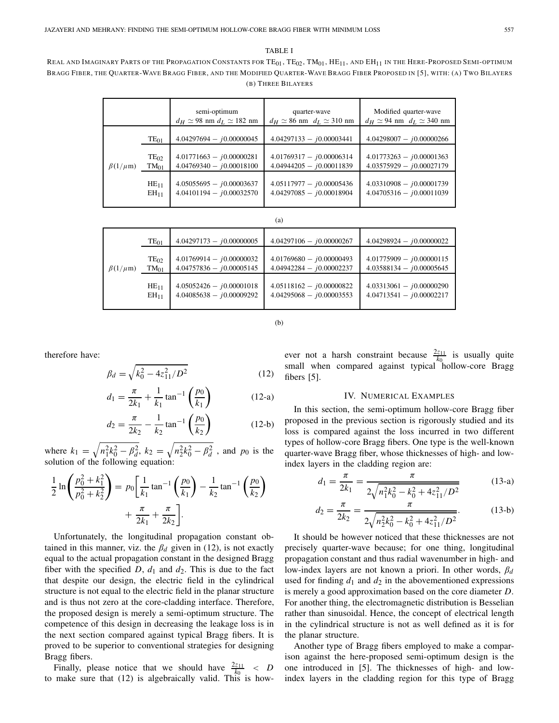TABLE I

REAL AND IMAGINARY PARTS OF THE PROPAGATION CONSTANTS FOR  $TE_{01}$ ,  $TE_{02}$ ,  $TM_{01}$ ,  $HE_{11}$ , and  $EH_{11}$  in the Here-Proposed Semi-Optimum BRAGG FIBER, THE QUARTER-WAVE BRAGG FIBER, AND THE MODIFIED QUARTER-WAVE BRAGG FIBER PROPOSED IN [5], WITH: (A) TWO BILAYERS (B) THREE BILAYERS

|                  |                        | semi-optimum<br>$d_H \simeq 98$ nm $d_L \simeq 182$ nm   | quarter-wave<br>$d_H \simeq 86$ nm $d_L \simeq 310$ nm   | Modified quarter-wave<br>$d_H \simeq 94$ nm $d_L \simeq 340$ nm |
|------------------|------------------------|----------------------------------------------------------|----------------------------------------------------------|-----------------------------------------------------------------|
| $\beta(1/\mu m)$ | $TE_{01}$              | $4.04297694 - j0.00000045$                               | $4.04297133 - j0.00003441$                               | $4.04298007 - j0.00000266$                                      |
|                  | $TE_{02}$<br>$TM_{01}$ | $4.01771663 - j0.00000281$<br>$4.04769340 - j0.00018100$ | $4.01769317 - j0.00006314$<br>$4.04944205 - j0.00011839$ | $4.01773263 - j0.00001363$<br>$4.03575929 - j0.00027179$        |
|                  | $HE_{11}$<br>$EH_{11}$ | $4.05055695 - j0.00003637$<br>$4.04101194 - j0.00032570$ | $4.05117977 - j0.00005436$<br>$4.04297085 - j0.00018904$ | $4.03310908 - j0.00001739$<br>$4.04705316 - j0.00011039$        |

| (a)              |                               |                                                          |                                                          |                                                          |  |  |
|------------------|-------------------------------|----------------------------------------------------------|----------------------------------------------------------|----------------------------------------------------------|--|--|
|                  | $TE_{01}$                     | $4.04297173 - j0.00000005$                               | $4.04297106 - j0.00000267$                               | $4.04298924 - i0.00000022$                               |  |  |
| $\beta(1/\mu m)$ | $TE_{02}$<br>$TM_{01}$        | $4.01769914 - j0.00000032$<br>$4.04757836 - j0.00005145$ | $4.01769680 - j0.00000493$<br>$4.04942284 - j0.00002237$ | $4.01775909 - j0.00000115$<br>$4.03588134 - j0.00005645$ |  |  |
|                  | $HE_{11}$<br>EH <sub>11</sub> | $4.05052426 - j0.00001018$<br>$4.04085638 - j0.00009292$ | $4.05118162 - j0.00000822$<br>$4.04295068 - j0.00003553$ | $4.03313061 - j0.00000290$<br>$4.04713541 - j0.00002217$ |  |  |

(b)

therefore have:

$$
\beta_d = \sqrt{k_0^2 - 4z_{11}^2/D^2}
$$
 (12)

$$
d_1 = \frac{\pi}{2k_1} + \frac{1}{k_1} \tan^{-1} \left( \frac{p_0}{k_1} \right) \tag{12-a}
$$

$$
d_2 = \frac{\pi}{2k_2} - \frac{1}{k_2} \tan^{-1} \left( \frac{p_0}{k_2} \right) \tag{12-b}
$$

where  $k_1 = \sqrt{n_1^2 k_0^2 - \beta_d^2}$ ,  $k_2 = \sqrt{n_2^2 k_0^2 - \beta_d^2}$ , and  $p_0$  is the solution of the following equation:

$$
\frac{1}{2}\ln\left(\frac{p_0^2 + k_1^2}{p_0^2 + k_2^2}\right) = p_0 \left[\frac{1}{k_1}\tan^{-1}\left(\frac{p_0}{k_1}\right) - \frac{1}{k_2}\tan^{-1}\left(\frac{p_0}{k_2}\right) + \frac{\pi}{2k_1} + \frac{\pi}{2k_2}\right].
$$

Unfortunately, the longitudinal propagation constant obtained in this manner, viz. the  $\beta_d$  given in (12), is not exactly equal to the actual propagation constant in the designed Bragg fiber with the specified  $D$ ,  $d_1$  and  $d_2$ . This is due to the fact that despite our design, the electric field in the cylindrical structure is not equal to the electric field in the planar structure and is thus not zero at the core-cladding interface. Therefore, the proposed design is merely a semi-optimum structure. The competence of this design in decreasing the leakage loss is in the next section compared against typical Bragg fibers. It is proved to be superior to conventional strategies for designing Bragg fibers.

Finally, please notice that we should have  $\frac{2z_{11}}{k_0} < D$ to make sure that (12) is algebraically valid. This is however not a harsh constraint because  $\frac{2z_{11}}{k_0}$  is usually quite small when compared against typical hollow-core Bragg fibers [5].

## IV. NUMERICAL EXAMPLES

In this section, the semi-optimum hollow-core Bragg fiber proposed in the previous section is rigorously studied and its loss is compared against the loss incurred in two different types of hollow-core Bragg fibers. One type is the well-known quarter-wave Bragg fiber, whose thicknesses of high- and lowindex layers in the cladding region are:

$$
d_1 = \frac{\pi}{2k_1} = \frac{\pi}{2\sqrt{n_1^2k_0^2 - k_0^2 + 4z_{11}^2/D^2}}
$$
(13-a)

$$
d_2 = \frac{\pi}{2k_2} = \frac{\pi}{2\sqrt{n_2^2k_0^2 - k_0^2 + 4z_{11}^2/D^2}}.\tag{13-b}
$$

It should be however noticed that these thicknesses are not precisely quarter-wave because; for one thing, longitudinal propagation constant and thus radial wavenumber in high- and low-index layers are not known a priori. In other words, β*d* used for finding  $d_1$  and  $d_2$  in the abovementioned expressions is merely a good approximation based on the core diameter *D*. For another thing, the electromagnetic distribution is Besselian rather than sinusoidal. Hence, the concept of electrical length in the cylindrical structure is not as well defined as it is for the planar structure.

Another type of Bragg fibers employed to make a comparison against the here-proposed semi-optimum design is the one introduced in [5]. The thicknesses of high- and lowindex layers in the cladding region for this type of Bragg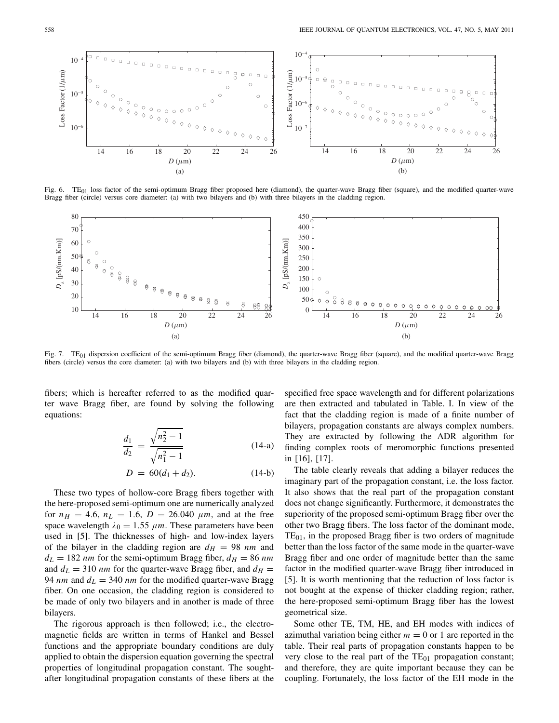

Fig. 6. TE<sub>01</sub> loss factor of the semi-optimum Bragg fiber proposed here (diamond), the quarter-wave Bragg fiber (square), and the modified quarter-wave Bragg fiber (circle) versus core diameter: (a) with two bilayers and (b) with three bilayers in the cladding region.



Fig. 7. TE<sub>01</sub> dispersion coefficient of the semi-optimum Bragg fiber (diamond), the quarter-wave Bragg fiber (square), and the modified quarter-wave Bragg fibers (circle) versus the core diameter: (a) with two bilayers and (b) with three bilayers in the cladding region.

fibers; which is hereafter referred to as the modified quarter wave Bragg fiber, are found by solving the following equations:

$$
\frac{d_1}{d_2} = \frac{\sqrt{n_2^2 - 1}}{\sqrt{n_1^2 - 1}}\tag{14-a}
$$

$$
D = 60(d_1 + d_2). \tag{14-b}
$$

These two types of hollow-core Bragg fibers together with the here-proposed semi-optimum one are numerically analyzed for  $n_H = 4.6$ ,  $n_L = 1.6$ ,  $D = 26.040 \mu m$ , and at the free space wavelength  $\lambda_0 = 1.55 \ \mu m$ . These parameters have been used in [5]. The thicknesses of high- and low-index layers of the bilayer in the cladding region are  $d_H = 98$  nm and  $d_L = 182$  *nm* for the semi-optimum Bragg fiber,  $d_H = 86$  *nm* and  $d_L = 310$  *nm* for the quarter-wave Bragg fiber, and  $d_H =$ 94 *nm* and  $d_L = 340$  *nm* for the modified quarter-wave Bragg fiber. On one occasion, the cladding region is considered to be made of only two bilayers and in another is made of three bilayers.

The rigorous approach is then followed; i.e., the electromagnetic fields are written in terms of Hankel and Bessel functions and the appropriate boundary conditions are duly applied to obtain the dispersion equation governing the spectral properties of longitudinal propagation constant. The soughtafter longitudinal propagation constants of these fibers at the specified free space wavelength and for different polarizations are then extracted and tabulated in Table. I. In view of the fact that the cladding region is made of a finite number of bilayers, propagation constants are always complex numbers. They are extracted by following the ADR algorithm for finding complex roots of meromorphic functions presented in [16], [17].

The table clearly reveals that adding a bilayer reduces the imaginary part of the propagation constant, i.e. the loss factor. It also shows that the real part of the propagation constant does not change significantly. Furthermore, it demonstrates the superiority of the proposed semi-optimum Bragg fiber over the other two Bragg fibers. The loss factor of the dominant mode,  $TE<sub>01</sub>$ , in the proposed Bragg fiber is two orders of magnitude better than the loss factor of the same mode in the quarter-wave Bragg fiber and one order of magnitude better than the same factor in the modified quarter-wave Bragg fiber introduced in [5]. It is worth mentioning that the reduction of loss factor is not bought at the expense of thicker cladding region; rather, the here-proposed semi-optimum Bragg fiber has the lowest geometrical size.

Some other TE, TM, HE, and EH modes with indices of azimuthal variation being either  $m = 0$  or 1 are reported in the table. Their real parts of propagation constants happen to be very close to the real part of the  $TE_{01}$  propagation constant; and therefore, they are quite important because they can be coupling. Fortunately, the loss factor of the EH mode in the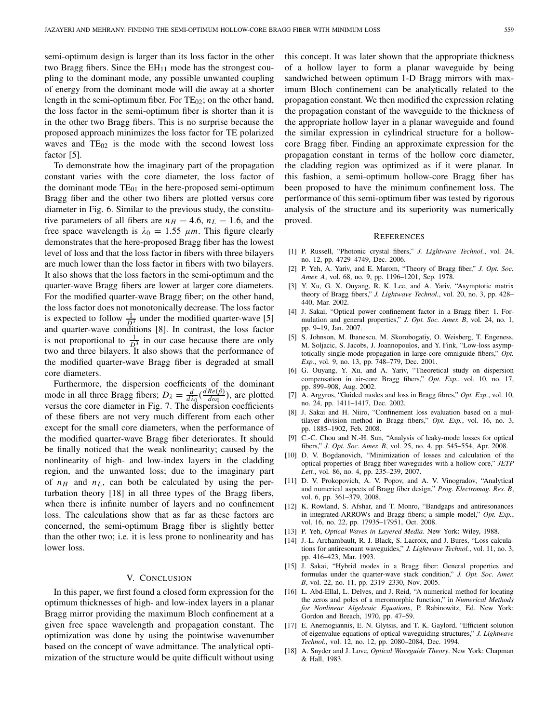semi-optimum design is larger than its loss factor in the other two Bragg fibers. Since the  $EH_{11}$  mode has the strongest coupling to the dominant mode, any possible unwanted coupling of energy from the dominant mode will die away at a shorter length in the semi-optimum fiber. For  $TE_{02}$ ; on the other hand, the loss factor in the semi-optimum fiber is shorter than it is in the other two Bragg fibers. This is no surprise because the proposed approach minimizes the loss factor for TE polarized waves and  $TE_{02}$  is the mode with the second lowest loss factor [5].

To demonstrate how the imaginary part of the propagation constant varies with the core diameter, the loss factor of the dominant mode  $TE_{01}$  in the here-proposed semi-optimum Bragg fiber and the other two fibers are plotted versus core diameter in Fig. 6. Similar to the previous study, the constitutive parameters of all fibers are  $n_H = 4.6$ ,  $n_L = 1.6$ , and the free space wavelength is  $\lambda_0 = 1.55 \mu m$ . This figure clearly demonstrates that the here-proposed Bragg fiber has the lowest level of loss and that the loss factor in fibers with three bilayers are much lower than the loss factor in fibers with two bilayers. It also shows that the loss factors in the semi-optimum and the quarter-wave Bragg fibers are lower at larger core diameters. For the modified quarter-wave Bragg fiber; on the other hand, the loss factor does not monotonically decrease. The loss factor is expected to follow  $\frac{1}{D^3}$  under the modified quarter-wave [5] and quarter-wave conditions [8]. In contrast, the loss factor is not proportional to  $\frac{1}{D^3}$  in our case because there are only two and three bilayers. It also shows that the performance of the modified quarter-wave Bragg fiber is degraded at small core diameters.

Furthermore, the dispersion coefficients of the dominant mode in all three Bragg fibers;  $D_{\lambda} = \frac{d}{d\lambda_0} \left( \frac{dRe(\beta)}{d\omega_0} \right)$ , are plotted versus the core diameter in Fig. 7. The dispersion coefficients of these fibers are not very much different from each other except for the small core diameters, when the performance of the modified quarter-wave Bragg fiber deteriorates. It should be finally noticed that the weak nonlinearity; caused by the nonlinearity of high- and low-index layers in the cladding region, and the unwanted loss; due to the imaginary part of  $n_H$  and  $n_L$ , can both be calculated by using the perturbation theory [18] in all three types of the Bragg fibers, when there is infinite number of layers and no confinement loss. The calculations show that as far as these factors are concerned, the semi-optimum Bragg fiber is slightly better than the other two; i.e. it is less prone to nonlinearity and has lower loss.

#### V. CONCLUSION

In this paper, we first found a closed form expression for the optimum thicknesses of high- and low-index layers in a planar Bragg mirror providing the maximum Bloch confinement at a given free space wavelength and propagation constant. The optimization was done by using the pointwise wavenumber based on the concept of wave admittance. The analytical optimization of the structure would be quite difficult without using

this concept. It was later shown that the appropriate thickness of a hollow layer to form a planar waveguide by being sandwiched between optimum 1-D Bragg mirrors with maximum Bloch confinement can be analytically related to the propagation constant. We then modified the expression relating the propagation constant of the waveguide to the thickness of the appropriate hollow layer in a planar waveguide and found the similar expression in cylindrical structure for a hollowcore Bragg fiber. Finding an approximate expression for the propagation constant in terms of the hollow core diameter, the cladding region was optimized as if it were planar. In this fashion, a semi-optimum hollow-core Bragg fiber has been proposed to have the minimum confinement loss. The performance of this semi-optimum fiber was tested by rigorous analysis of the structure and its superiority was numerically proved.

#### **REFERENCES**

- [1] P. Russell, "Photonic crystal fibers," *J. Lightwave Technol.*, vol. 24, no. 12, pp. 4729–4749, Dec. 2006.
- [2] P. Yeh, A. Yariv, and E. Marom, "Theory of Bragg fiber," *J. Opt. Soc. Amer. A*, vol. 68, no. 9, pp. 1196–1201, Sep. 1978.
- [3] Y. Xu, G. X. Ouyang, R. K. Lee, and A. Yariv, "Asymptotic matrix theory of Bragg fibers," *J. Lightwave Technol.*, vol. 20, no. 3, pp. 428– 440, Mar. 2002.
- [4] J. Sakai, "Optical power confinement factor in a Bragg fiber: 1. Formulation and general properties," *J. Opt. Soc. Amer. B*, vol. 24, no. 1, pp. 9–19, Jan. 2007.
- [5] S. Johnson, M. Ibanescu, M. Skorobogatiy, O. Weisberg, T. Engeness, M. Soljacic, S. Jacobs, J. Joannopoulos, and Y. Fink, "Low-loss asymptotically single-mode propagation in large-core omniguide fibers," *Opt. Exp.*, vol. 9, no. 13, pp. 748–779, Dec. 2001.
- [6] G. Ouyang, Y. Xu, and A. Yariv, "Theoretical study on dispersion compensation in air-core Bragg fibers," *Opt. Exp.*, vol. 10, no. 17, pp. 899–908, Aug. 2002.
- [7] A. Argyros, "Guided modes and loss in Bragg fibres," *Opt. Exp.*, vol. 10, no. 24, pp. 1411–1417, Dec. 2002.
- [8] J. Sakai and H. Niiro, "Confinement loss evaluation based on a multilayer division method in Bragg fibers," *Opt. Exp.*, vol. 16, no. 3, pp. 1885–1902, Feb. 2008.
- [9] C.-C. Chou and N.-H. Sun, "Analysis of leaky-mode losses for optical fibers," *J. Opt. Soc. Amer. B*, vol. 25, no. 4, pp. 545–554, Apr. 2008.
- [10] D. V. Bogdanovich, "Minimization of losses and calculation of the optical properties of Bragg fiber waveguides with a hollow core," *JETP Lett.*, vol. 86, no. 4, pp. 235–239, 2007.
- [11] D. V. Prokopovich, A. V. Popov, and A. V. Vinogradov, "Analytical and numerical aspects of Bragg fiber design," *Prog. Electromag. Res. B*, vol. 6, pp. 361–379, 2008.
- [12] K. Rowland, S. Afshar, and T. Monro, "Bandgaps and antiresonances in integrated-ARROWs and Bragg fibers; a simple model," *Opt. Exp.*, vol. 16, no. 22, pp. 17935–17951, Oct. 2008.
- [13] P. Yeh, *Optical Waves in Layered Media*. New York: Wiley, 1988.
- [14] J.-L. Archambault, R. J. Black, S. Lacroix, and J. Bures, "Loss calculations for antiresonant waveguides," *J. Lightwave Technol.*, vol. 11, no. 3, pp. 416–423, Mar. 1993.
- [15] J. Sakai, "Hybrid modes in a Bragg fiber: General properties and formulas under the quarter-wave stack condition," *J. Opt. Soc. Amer. B*, vol. 22, no. 11, pp. 2319–2330, Nov. 2005.
- [16] L. Abd-Ellal, L. Delves, and J. Reid, "A numerical method for locating the zeros and poles of a meromorphic function," in *Numerical Methods for Nonlinear Algebraic Equations*, P. Rabinowitz, Ed. New York: Gordon and Breach, 1970, pp. 47–59.
- [17] E. Anemogiannis, E. N. Glytsis, and T. K. Gaylord, "Efficient solution of eigenvalue equations of optical waveguiding structures," *J. Lightwave Technol.*, vol. 12, no. 12, pp. 2080–2084, Dec. 1994.
- [18] A. Snyder and J. Love, *Optical Waveguide Theory*. New York: Chapman & Hall, 1983.